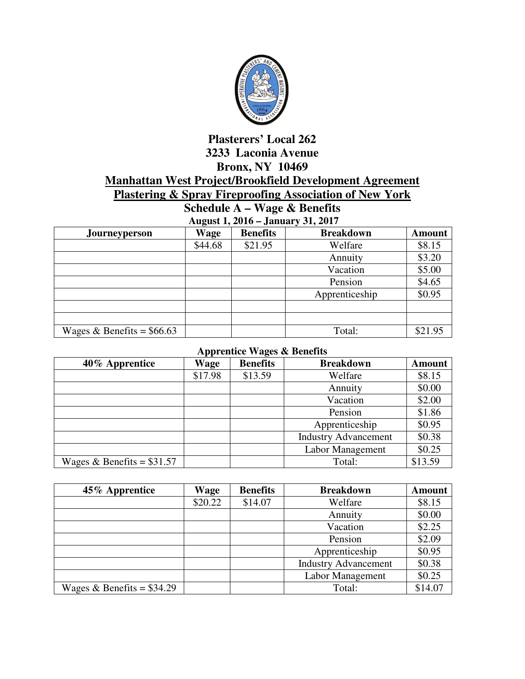

## **Plasterers' Local 262 3233 Laconia Avenue Bronx, NY 10469 Manhattan West Project/Brookfield Development Agreement Plastering & Spray Fireproofing Association of New York**

**Schedule A – Wage & Benefits August 1, 2016 – January 31, 2017** 

| $A$ ugust 1, $2010 -$ January 91, $2017$ |         |                 |                  |               |  |
|------------------------------------------|---------|-----------------|------------------|---------------|--|
| <b>Journeyperson</b>                     | Wage    | <b>Benefits</b> | <b>Breakdown</b> | <b>Amount</b> |  |
|                                          | \$44.68 | \$21.95         | Welfare          | \$8.15        |  |
|                                          |         |                 | Annuity          | \$3.20        |  |
|                                          |         |                 | Vacation         | \$5.00        |  |
|                                          |         |                 | Pension          | \$4.65        |  |
|                                          |         |                 | Apprenticeship   | \$0.95        |  |
|                                          |         |                 |                  |               |  |
|                                          |         |                 |                  |               |  |
| Wages & Benefits = $$66.63$              |         |                 | Total:           | \$21.95       |  |

## **Apprentice Wages & Benefits**

| 40% Apprentice              | <b>Wage</b> | <b>Benefits</b> | <b>Breakdown</b>            | <b>Amount</b> |
|-----------------------------|-------------|-----------------|-----------------------------|---------------|
|                             | \$17.98     | \$13.59         | Welfare                     | \$8.15        |
|                             |             |                 | Annuity                     | \$0.00        |
|                             |             |                 | Vacation                    | \$2.00        |
|                             |             |                 | Pension                     | \$1.86        |
|                             |             |                 | Apprenticeship              | \$0.95        |
|                             |             |                 | <b>Industry Advancement</b> | \$0.38        |
|                             |             |                 | <b>Labor Management</b>     | \$0.25        |
| Wages & Benefits = $$31.57$ |             |                 | Total:                      | \$13.59       |

| 45% Apprentice              | Wage    | <b>Benefits</b> | <b>Breakdown</b>            | <b>Amount</b> |
|-----------------------------|---------|-----------------|-----------------------------|---------------|
|                             | \$20.22 | \$14.07         | Welfare                     | \$8.15        |
|                             |         |                 | Annuity                     | \$0.00        |
|                             |         |                 | Vacation                    | \$2.25        |
|                             |         |                 | Pension                     | \$2.09        |
|                             |         |                 | Apprenticeship              | \$0.95        |
|                             |         |                 | <b>Industry Advancement</b> | \$0.38        |
|                             |         |                 | Labor Management            | \$0.25        |
| Wages & Benefits = $$34.29$ |         |                 | Total:                      | \$14.07       |